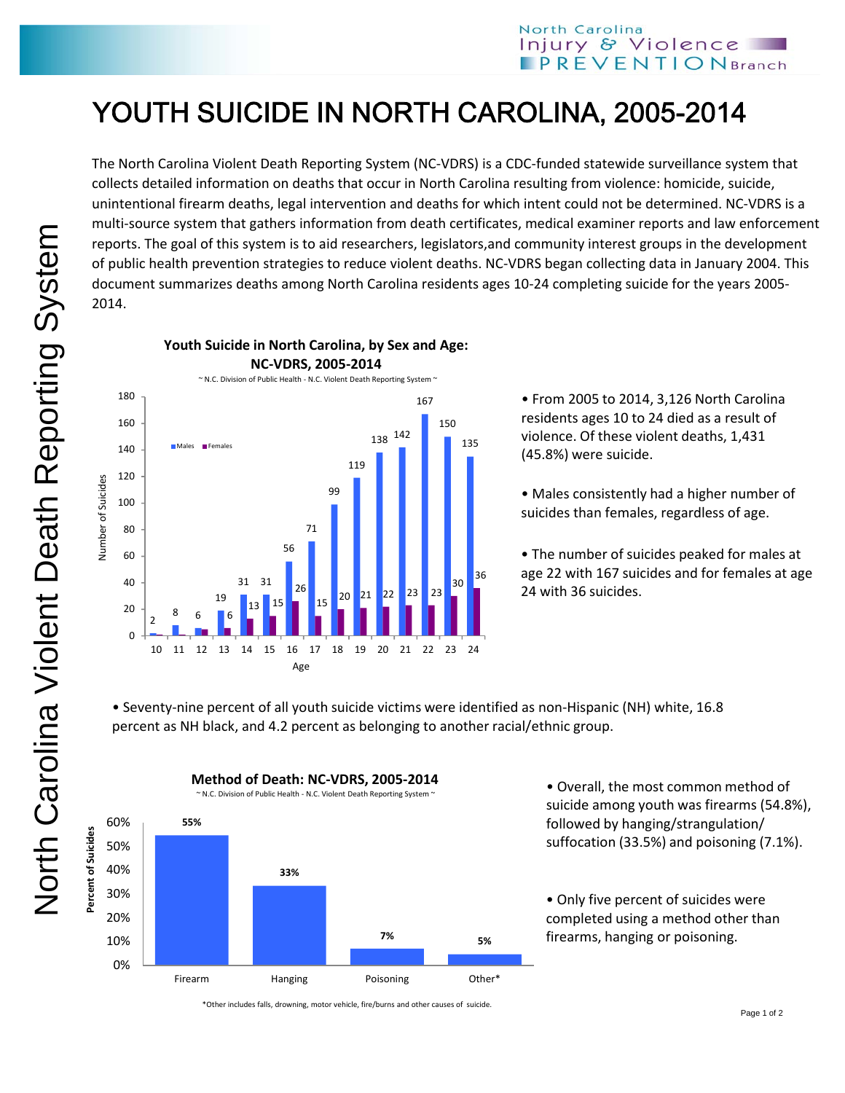## YOUTH SUICIDE IN NORTH CAROLINA, 2005-2014

The North Carolina Violent Death Reporting System (NC‐VDRS) is a CDC‐funded statewide surveillance system that collects detailed information on deaths that occur in North Carolina resulting from violence: homicide, suicide, unintentional firearm deaths, legal intervention and deaths for which intent could not be determined. NC‐VDRS is a multi‐source system that gathers information from death certificates, medical examiner reports and law enforcement reports. The goal of this system is to aid researchers, legislators,and community interest groups in the development of public health prevention strategies to reduce violent deaths. NC‐VDRS began collecting data in January 2004. This document summarizes deaths among North Carolina residents ages 10‐24 completing suicide for the years 2005‐ 2014.



• From 2005 to 2014, 3,126 North Carolina residents ages 10 to 24 died as a result of violence. Of these violent deaths, 1,431 (45.8%) were suicide.

• Males consistently had a higher number of suicides than females, regardless of age.

• The number of suicides peaked for males at age 22 with 167 suicides and for females at age 24 with 36 suicides.

• Seventy‐nine percent of all youth suicide victims were identified as non‐Hispanic (NH) white, 16.8 percent as NH black, and 4.2 percent as belonging to another racial/ethnic group.



**Method of Death: NC‐VDRS, 2005‐2014**

• Overall, the most common method of suicide among youth was firearms (54.8%), followed by hanging/strangulation/ suffocation (33.5%) and poisoning (7.1%).

• Only five percent of suicides were completed using a method other than firearms, hanging or poisoning.

\*Other includes falls, drowning, motor vehicle, fire/burns and other causes of suicide.